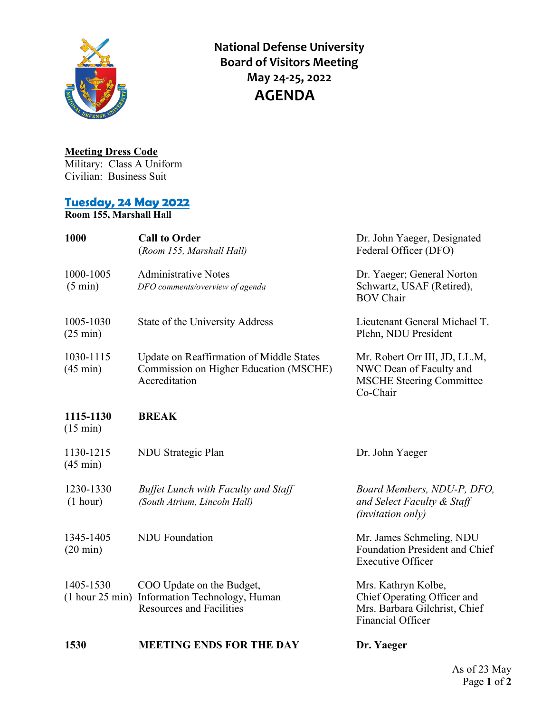

**National Defense University Board of Visitors Meeting May 24-25, 2022 AGENDA**

## **Meeting Dress Code**

Military: Class A Uniform Civilian: Business Suit

## **Tuesday, 24 May 2022**

**Room 155, Marshall Hall**

| 1000                            | <b>Call to Order</b><br>(Room 155, Marshall Hall)                                                   | Dr. John Yaeger, Designated<br>Federal Officer (DFO)                                                     |
|---------------------------------|-----------------------------------------------------------------------------------------------------|----------------------------------------------------------------------------------------------------------|
| 1000-1005<br>$(5 \text{ min})$  | <b>Administrative Notes</b><br>DFO comments/overview of agenda                                      | Dr. Yaeger; General Norton<br>Schwartz, USAF (Retired),<br><b>BOV Chair</b>                              |
| 1005-1030<br>$(25 \text{ min})$ | State of the University Address                                                                     | Lieutenant General Michael T.<br>Plehn, NDU President                                                    |
| 1030-1115<br>$(45 \text{ min})$ | Update on Reaffirmation of Middle States<br>Commission on Higher Education (MSCHE)<br>Accreditation | Mr. Robert Orr III, JD, LL.M,<br>NWC Dean of Faculty and<br><b>MSCHE Steering Committee</b><br>Co-Chair  |
| 1115-1130<br>$(15 \text{ min})$ | <b>BREAK</b>                                                                                        |                                                                                                          |
| 1130-1215<br>$(45 \text{ min})$ | NDU Strategic Plan                                                                                  | Dr. John Yaeger                                                                                          |
| 1230-1330<br>(1 hour)           | <b>Buffet Lunch with Faculty and Staff</b><br>(South Atrium, Lincoln Hall)                          | Board Members, NDU-P, DFO,<br>and Select Faculty & Staff<br>(invitation only)                            |
| 1345-1405<br>$(20 \text{ min})$ | <b>NDU</b> Foundation                                                                               | Mr. James Schmeling, NDU<br>Foundation President and Chief<br><b>Executive Officer</b>                   |
| 1405-1530<br>$(1$ hour 25 min)  | COO Update on the Budget,<br>Information Technology, Human<br><b>Resources and Facilities</b>       | Mrs. Kathryn Kolbe,<br>Chief Operating Officer and<br>Mrs. Barbara Gilchrist, Chief<br>Financial Officer |
| 1530                            | <b>MEETING ENDS FOR THE DAY</b>                                                                     | Dr. Yaeger                                                                                               |